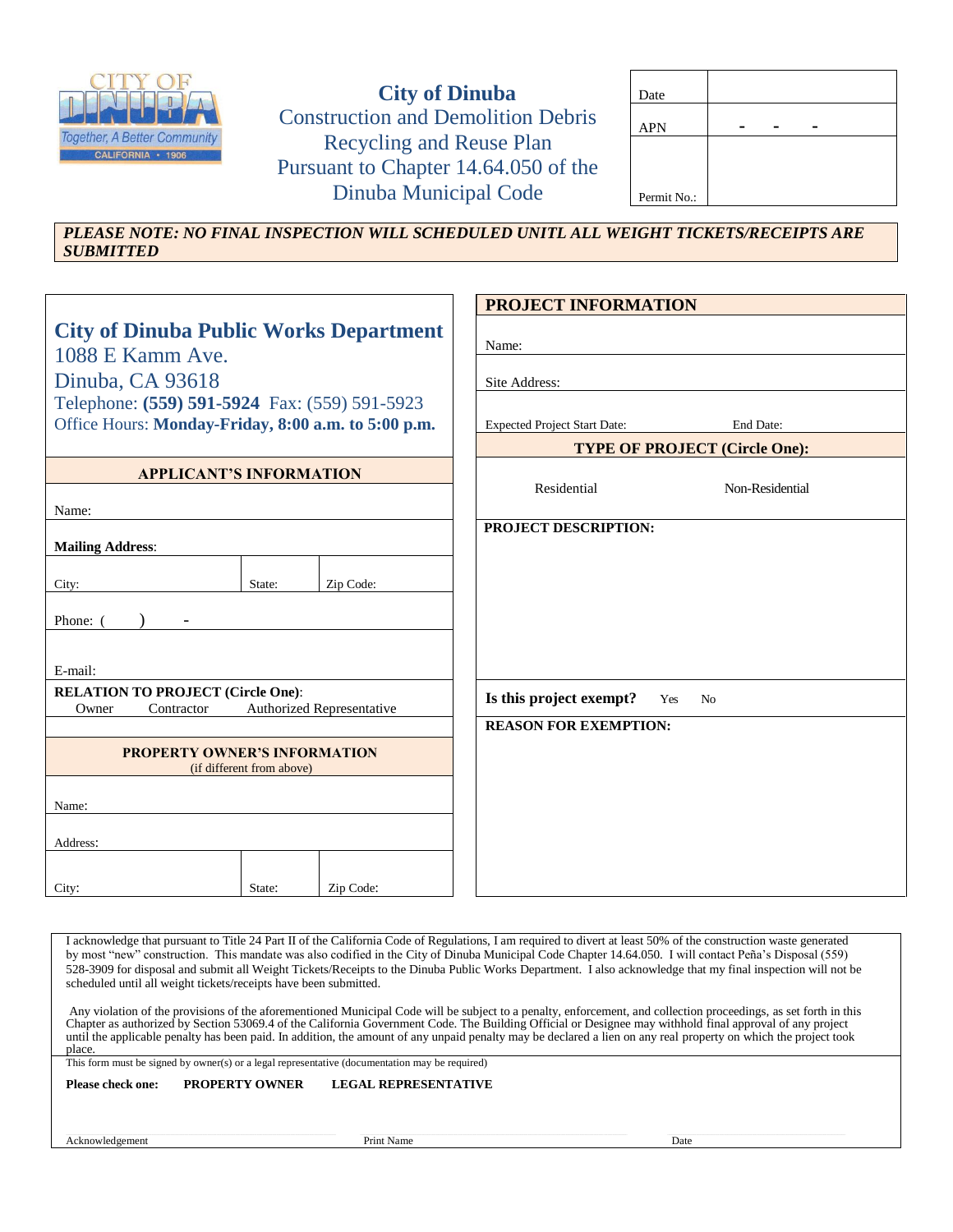

**City of Dinuba** Construction and Demolition Debris Recycling and Reuse Plan Pursuant to Chapter 14.64.050 of the Dinuba Municipal Code

| Date        |  |  |
|-------------|--|--|
| <b>APN</b>  |  |  |
|             |  |  |
|             |  |  |
| Permit No.: |  |  |

*PLEASE NOTE: NO FINAL INSPECTION WILL SCHEDULED UNITL ALL WEIGHT TICKETS/RECEIPTS ARE SUBMITTED*

|                                                                   |                           |                           | <b>PROJECT INFORMATION</b>           |                       |
|-------------------------------------------------------------------|---------------------------|---------------------------|--------------------------------------|-----------------------|
| <b>City of Dinuba Public Works Department</b><br>1088 E Kamm Ave. |                           |                           | Name:                                |                       |
|                                                                   |                           |                           |                                      |                       |
| Dinuba, CA 93618                                                  |                           |                           | Site Address:                        |                       |
| Telephone: (559) 591-5924 Fax: (559) 591-5923                     |                           |                           |                                      |                       |
| Office Hours: Monday-Friday, 8:00 a.m. to 5:00 p.m.               |                           |                           | <b>Expected Project Start Date:</b>  | End Date:             |
|                                                                   |                           |                           | <b>TYPE OF PROJECT (Circle One):</b> |                       |
| <b>APPLICANT'S INFORMATION</b>                                    |                           |                           |                                      |                       |
|                                                                   |                           |                           | Residential                          | Non-Residential       |
| Name:                                                             |                           |                           | PROJECT DESCRIPTION:                 |                       |
| <b>Mailing Address:</b>                                           |                           |                           |                                      |                       |
|                                                                   |                           |                           |                                      |                       |
| City:                                                             | State:                    | Zip Code:                 |                                      |                       |
| Phone: 0                                                          |                           |                           |                                      |                       |
|                                                                   |                           |                           |                                      |                       |
| E-mail:                                                           |                           |                           |                                      |                       |
| <b>RELATION TO PROJECT (Circle One):</b>                          |                           |                           | Is this project exempt?              | Yes<br>N <sub>0</sub> |
| Owner<br>Contractor                                               |                           | Authorized Representative |                                      |                       |
|                                                                   |                           |                           | <b>REASON FOR EXEMPTION:</b>         |                       |
| <b>PROPERTY OWNER'S INFORMATION</b>                               |                           |                           |                                      |                       |
|                                                                   | (if different from above) |                           |                                      |                       |
|                                                                   |                           |                           |                                      |                       |
| Name:                                                             |                           |                           |                                      |                       |
| Address:                                                          |                           |                           |                                      |                       |
|                                                                   |                           |                           |                                      |                       |
| City:                                                             | State:                    | Zip Code:                 |                                      |                       |

I acknowledge that pursuant to Title 24 Part II of the California Code of Regulations, I am required to divert at least 50% of the construction waste generated by most "new" construction. This mandate was also codified in the City of Dinuba Municipal Code Chapter 14.64.050. I will contact Peña's Disposal (559) 528-3909 for disposal and submit all Weight Tickets/Receipts to the Dinuba Public Works Department. I also acknowledge that my final inspection will not be scheduled until all weight tickets/receipts have been submitted.

Any violation of the provisions of the aforementioned Municipal Code will be subject to a penalty, enforcement, and collection proceedings, as set forth in this Chapter as authorized by Section 53069.4 of the California Government Code. The Building Official or Designee may withhold final approval of any project until the applicable penalty has been paid. In addition, the amount of any unpaid penalty may be declared a lien on any real property on which the project took place

This form must be signed by owner(s) or a legal representative (documentation may be required)

**Please check one: PROPERTY OWNER LEGAL REPRESENTATIVE** 

Acknowledgement Date Date Date Name Date Date Date Name Date Date Name Date Date Name Date Date Name Date Date Name Date Name Date Name Date Name Date Name Date Name Date Name Date Name Date Name Date Name Date Name Date N